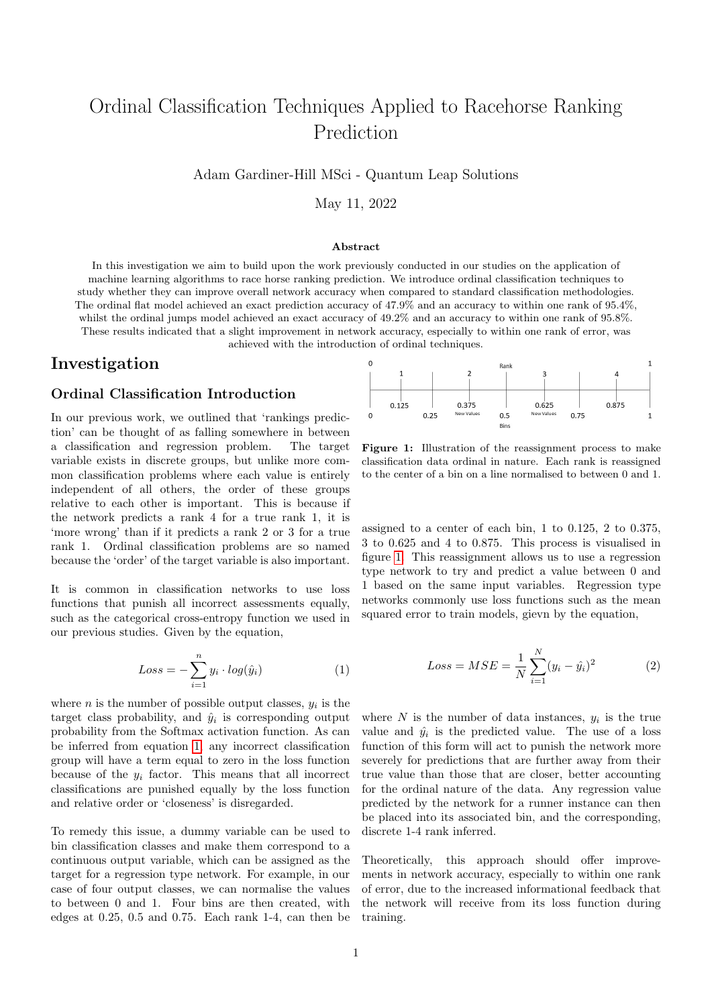# Ordinal Classification Techniques Applied to Racehorse Ranking Prediction

Adam Gardiner-Hill MSci - Quantum Leap Solutions

May 11, 2022

#### Abstract

In this investigation we aim to build upon the work previously conducted in our studies on the application of machine learning algorithms to race horse ranking prediction. We introduce ordinal classification techniques to study whether they can improve overall network accuracy when compared to standard classification methodologies. The ordinal flat model achieved an exact prediction accuracy of 47.9% and an accuracy to within one rank of 95.4%, whilst the ordinal jumps model achieved an exact accuracy of  $49.2\%$  and an accuracy to within one rank of 95.8%. These results indicated that a slight improvement in network accuracy, especially to within one rank of error, was achieved with the introduction of ordinal techniques.

## Investigation

#### Ordinal Classification Introduction

In our previous work, we outlined that 'rankings prediction' can be thought of as falling somewhere in between a classification and regression problem. The target variable exists in discrete groups, but unlike more common classification problems where each value is entirely independent of all others, the order of these groups relative to each other is important. This is because if the network predicts a rank 4 for a true rank 1, it is 'more wrong' than if it predicts a rank 2 or 3 for a true rank 1. Ordinal classification problems are so named because the 'order' of the target variable is also important.

It is common in classification networks to use loss functions that punish all incorrect assessments equally, such as the categorical cross-entropy function we used in our previous studies. Given by the equation,

<span id="page-0-0"></span>
$$
Loss = -\sum_{i=1}^{n} y_i \cdot log(\hat{y}_i)
$$
 (1)

where  $n$  is the number of possible output classes,  $y_i$  is the target class probability, and  $\hat{y}_i$  is corresponding output probability from the Softmax activation function. As can be inferred from equation [1,](#page-0-0) any incorrect classification group will have a term equal to zero in the loss function because of the  $y_i$  factor. This means that all incorrect classifications are punished equally by the loss function and relative order or 'closeness' is disregarded.

To remedy this issue, a dummy variable can be used to bin classification classes and make them correspond to a continuous output variable, which can be assigned as the target for a regression type network. For example, in our case of four output classes, we can normalise the values to between 0 and 1. Four bins are then created, with edges at 0.25, 0.5 and 0.75. Each rank 1-4, can then be

<span id="page-0-1"></span>

Figure 1: Illustration of the reassignment process to make classification data ordinal in nature. Each rank is reassigned to the center of a bin on a line normalised to between 0 and 1.

assigned to a center of each bin, 1 to 0.125, 2 to 0.375, 3 to 0.625 and 4 to 0.875. This process is visualised in figure [1.](#page-0-1) This reassignment allows us to use a regression type network to try and predict a value between 0 and 1 based on the same input variables. Regression type networks commonly use loss functions such as the mean squared error to train models, gievn by the equation,

$$
Loss = MSE = \frac{1}{N} \sum_{i=1}^{N} (y_i - \hat{y}_i)^2
$$
 (2)

where  $N$  is the number of data instances,  $y_i$  is the true value and  $\hat{y}_i$  is the predicted value. The use of a loss function of this form will act to punish the network more severely for predictions that are further away from their true value than those that are closer, better accounting for the ordinal nature of the data. Any regression value predicted by the network for a runner instance can then be placed into its associated bin, and the corresponding, discrete 1-4 rank inferred.

Theoretically, this approach should offer improvements in network accuracy, especially to within one rank of error, due to the increased informational feedback that the network will receive from its loss function during training.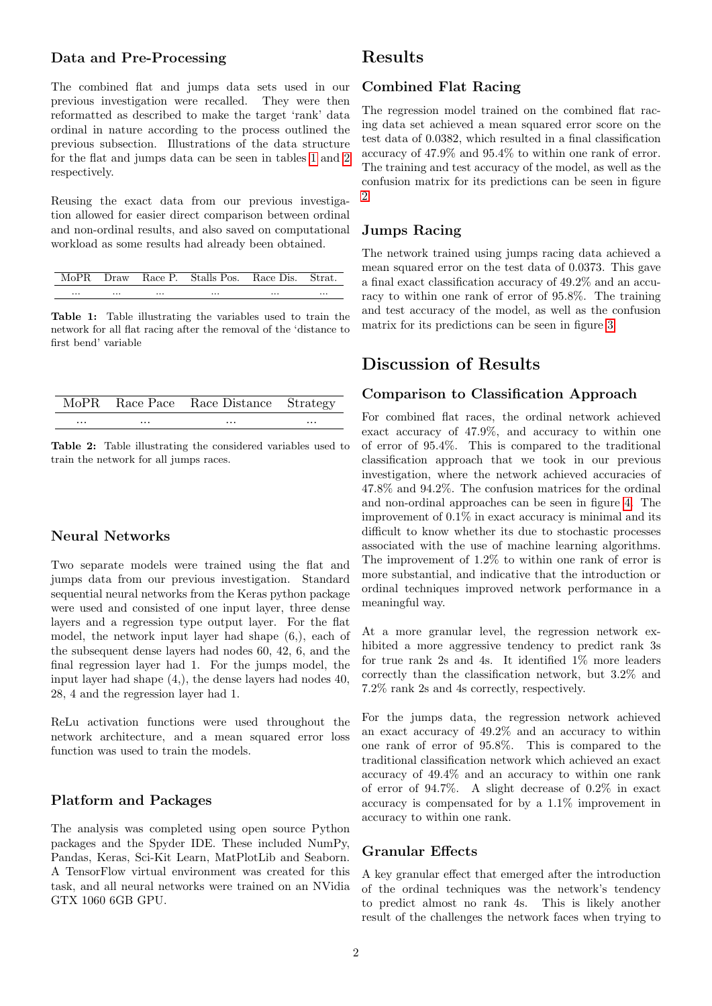#### Data and Pre-Processing

The combined flat and jumps data sets used in our previous investigation were recalled. They were then reformatted as described to make the target 'rank' data ordinal in nature according to the process outlined the previous subsection. Illustrations of the data structure for the flat and jumps data can be seen in tables [1](#page-1-0) and [2](#page-1-1) respectively.

Reusing the exact data from our previous investigation allowed for easier direct comparison between ordinal and non-ordinal results, and also saved on computational workload as some results had already been obtained.

<span id="page-1-0"></span>

|      | MoPR Draw Race P. Stalls Pos. Race Dis. Strat. |              |
|------|------------------------------------------------|--------------|
| <br> | <br>                                           | <br>$\cdots$ |

Table 1: Table illustrating the variables used to train the network for all flat racing after the removal of the 'distance to first bend' variable

<span id="page-1-1"></span>

|          |          | MoPR Race Pace Race Distance Strategy |          |
|----------|----------|---------------------------------------|----------|
| $\cdots$ | $\cdots$ | $\cdots$                              | $\cdots$ |

Table 2: Table illustrating the considered variables used to train the network for all jumps races.

#### Neural Networks

Two separate models were trained using the flat and jumps data from our previous investigation. Standard sequential neural networks from the Keras python package were used and consisted of one input layer, three dense layers and a regression type output layer. For the flat model, the network input layer had shape (6,), each of the subsequent dense layers had nodes 60, 42, 6, and the final regression layer had 1. For the jumps model, the input layer had shape (4,), the dense layers had nodes 40, 28, 4 and the regression layer had 1.

ReLu activation functions were used throughout the network architecture, and a mean squared error loss function was used to train the models.

#### Platform and Packages

The analysis was completed using open source Python packages and the Spyder IDE. These included NumPy, Pandas, Keras, Sci-Kit Learn, MatPlotLib and Seaborn. A TensorFlow virtual environment was created for this task, and all neural networks were trained on an NVidia GTX 1060 6GB GPU.

### Results

#### Combined Flat Racing

The regression model trained on the combined flat racing data set achieved a mean squared error score on the test data of 0.0382, which resulted in a final classification accuracy of 47.9% and 95.4% to within one rank of error. The training and test accuracy of the model, as well as the confusion matrix for its predictions can be seen in figure [2](#page-3-0)

#### Jumps Racing

The network trained using jumps racing data achieved a mean squared error on the test data of 0.0373. This gave a final exact classification accuracy of 49.2% and an accuracy to within one rank of error of 95.8%. The training and test accuracy of the model, as well as the confusion matrix for its predictions can be seen in figure [3.](#page-3-1)

## Discussion of Results

#### Comparison to Classification Approach

For combined flat races, the ordinal network achieved exact accuracy of 47.9%, and accuracy to within one of error of 95.4%. This is compared to the traditional classification approach that we took in our previous investigation, where the network achieved accuracies of 47.8% and 94.2%. The confusion matrices for the ordinal and non-ordinal approaches can be seen in figure [4.](#page-4-0) The improvement of 0.1% in exact accuracy is minimal and its difficult to know whether its due to stochastic processes associated with the use of machine learning algorithms. The improvement of 1.2% to within one rank of error is more substantial, and indicative that the introduction or ordinal techniques improved network performance in a meaningful way.

At a more granular level, the regression network exhibited a more aggressive tendency to predict rank 3s for true rank 2s and 4s. It identified 1% more leaders correctly than the classification network, but 3.2% and 7.2% rank 2s and 4s correctly, respectively.

For the jumps data, the regression network achieved an exact accuracy of 49.2% and an accuracy to within one rank of error of 95.8%. This is compared to the traditional classification network which achieved an exact accuracy of 49.4% and an accuracy to within one rank of error of 94.7%. A slight decrease of 0.2% in exact accuracy is compensated for by a 1.1% improvement in accuracy to within one rank.

#### Granular Effects

A key granular effect that emerged after the introduction of the ordinal techniques was the network's tendency to predict almost no rank 4s. This is likely another result of the challenges the network faces when trying to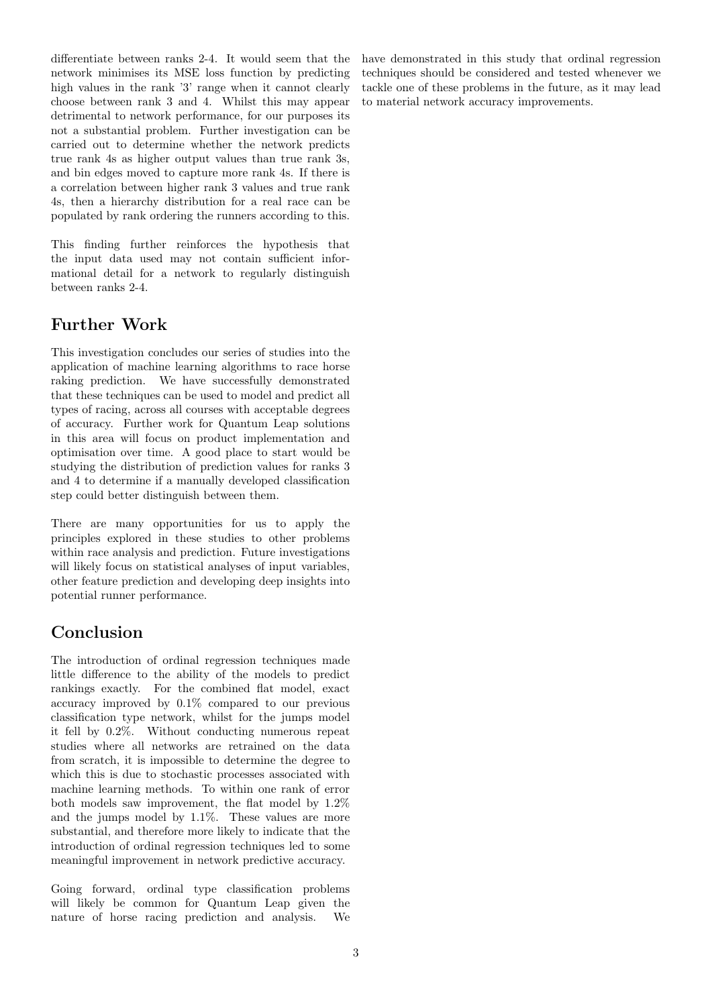differentiate between ranks 2-4. It would seem that the network minimises its MSE loss function by predicting high values in the rank '3' range when it cannot clearly choose between rank 3 and 4. Whilst this may appear detrimental to network performance, for our purposes its not a substantial problem. Further investigation can be carried out to determine whether the network predicts true rank 4s as higher output values than true rank 3s, and bin edges moved to capture more rank 4s. If there is a correlation between higher rank 3 values and true rank 4s, then a hierarchy distribution for a real race can be populated by rank ordering the runners according to this.

This finding further reinforces the hypothesis that the input data used may not contain sufficient informational detail for a network to regularly distinguish between ranks 2-4.

## Further Work

This investigation concludes our series of studies into the application of machine learning algorithms to race horse raking prediction. We have successfully demonstrated that these techniques can be used to model and predict all types of racing, across all courses with acceptable degrees of accuracy. Further work for Quantum Leap solutions in this area will focus on product implementation and optimisation over time. A good place to start would be studying the distribution of prediction values for ranks 3 and 4 to determine if a manually developed classification step could better distinguish between them.

There are many opportunities for us to apply the principles explored in these studies to other problems within race analysis and prediction. Future investigations will likely focus on statistical analyses of input variables, other feature prediction and developing deep insights into potential runner performance.

## Conclusion

The introduction of ordinal regression techniques made little difference to the ability of the models to predict rankings exactly. For the combined flat model, exact accuracy improved by 0.1% compared to our previous classification type network, whilst for the jumps model it fell by 0.2%. Without conducting numerous repeat studies where all networks are retrained on the data from scratch, it is impossible to determine the degree to which this is due to stochastic processes associated with machine learning methods. To within one rank of error both models saw improvement, the flat model by 1.2% and the jumps model by 1.1%. These values are more substantial, and therefore more likely to indicate that the introduction of ordinal regression techniques led to some meaningful improvement in network predictive accuracy.

Going forward, ordinal type classification problems will likely be common for Quantum Leap given the nature of horse racing prediction and analysis. We

have demonstrated in this study that ordinal regression techniques should be considered and tested whenever we tackle one of these problems in the future, as it may lead to material network accuracy improvements.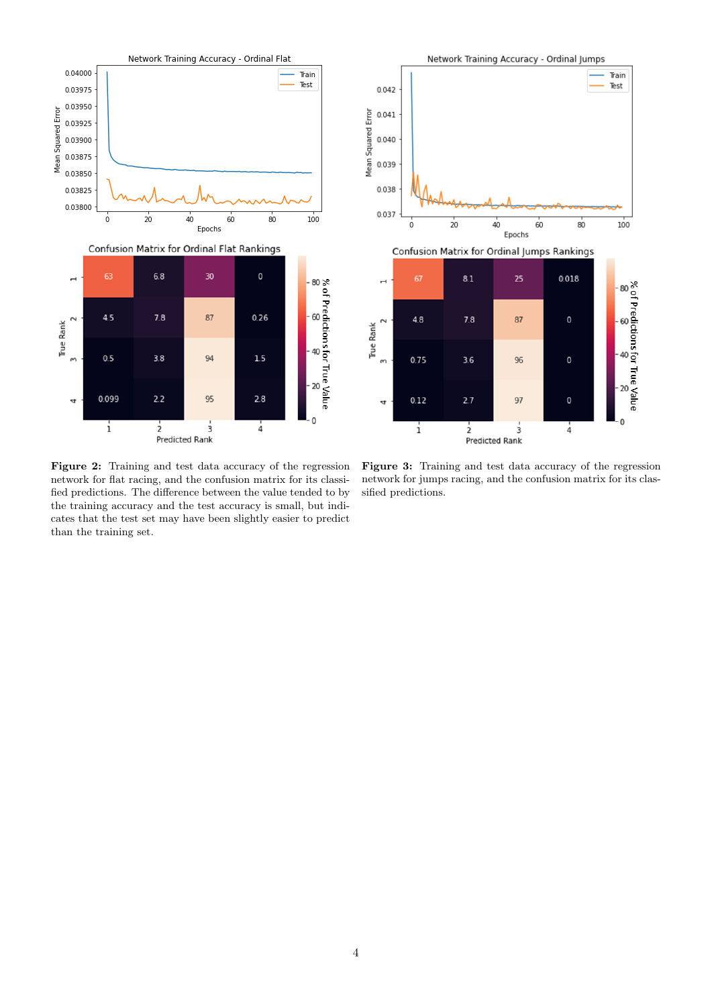<span id="page-3-0"></span>

Figure 2: Training and test data accuracy of the regression network for flat racing, and the confusion matrix for its classified predictions. The difference between the value tended to by the training accuracy and the test accuracy is small, but indicates that the test set may have been slightly easier to predict than the training set.

<span id="page-3-1"></span>

Figure 3: Training and test data accuracy of the regression network for jumps racing, and the confusion matrix for its classified predictions.